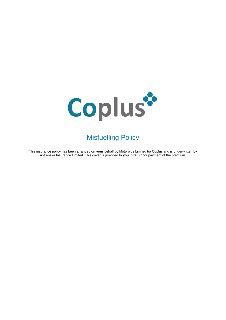

# Misfuelling Policy

This insurance policy has been arranged on **your** behalf by Motorplus Limited t/a Coplus and is underwritten by Astrenska Insurance Limited. This cover is provided to **you** in return for payment of the premium.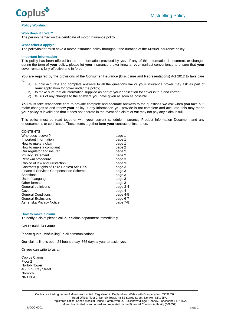

# **Policy Wording**

### **Who does it cover?**

The person named on the certificate of motor insurance policy.

## **What criteria apply?**

The policyholder must have a motor insurance policy throughout the duration of the Misfuel Insurance policy.

# **Important information**

This policy has been offered based on information provided by **you**. If any of this information is incorrect, or changes during the term of **your** policy, please let **your** insurance broker know at **your** earliest convenience to ensure that **your** cover remains fully effective and in force.

**You** are required by the provisions of the Consumer Insurance (Disclosure and Representations) Act 2012 to take care to:

- a) supply accurate and complete answers to all the questions **we** or **your** insurance broker may ask as part of **your** application for cover under the policy;
- b) to make sure that all information supplied as part of **your** application for cover is true and correct;
- c) tell **us** of any changes to the answers **you** have given as soon as possible.

**You** must take reasonable care to provide complete and accurate answers to the questions **we** ask when **you** take out, make changes to and renew **your** policy. If any information **you** provide is not complete and accurate, this may mean **your** policy is invalid and that it does not operate in the event of a claim or **we** may not pay any claim in full.

This policy must be read together with **your** current schedule, Insurance Product Information Document and any endorsements or certificates. These items together form **your** contract of insurance.

| <b>CONTENTS</b><br>Who does it cover?<br>Important information<br>How to make a claim<br>How to make a complaint<br>Our regulator and insurer<br><b>Privacy Statement</b><br>Renewal procedure<br>Choice of law and jurisdiction<br>Contracts (Rights of Third Parties) Act 1999<br><b>Financial Services Compensation Scheme</b><br>Sanctions<br>Use of Language<br>Other formats<br>General definitions | page 1<br>page 1<br>page 1<br>page 2<br>page 2<br>page 2<br>page 3<br>page 3<br>page 3<br>page 3<br>page 3<br>page 3<br>page 3<br>page 3-4 |
|-----------------------------------------------------------------------------------------------------------------------------------------------------------------------------------------------------------------------------------------------------------------------------------------------------------------------------------------------------------------------------------------------------------|--------------------------------------------------------------------------------------------------------------------------------------------|
|                                                                                                                                                                                                                                                                                                                                                                                                           |                                                                                                                                            |
| Cover<br><b>General Conditions</b><br><b>General Exclusions</b><br>Astrenska Privacy Notice                                                                                                                                                                                                                                                                                                               | page 4<br>page 4-5<br>page 6-7<br>page 7-8                                                                                                 |

#### **How to make a claim**

To notify a claim please call **our** claims department immediately.

## CALL: **0333 241 3400**

Please quote "Misfuelling" in all communications.

**Our** claims line is open 24 hours a day, 365 days a year to assist **you**.

Or **you** can write to **us** at:

Coplus Claims Floor 2 Norfolk Tower 48-52 Surrey Street Norwich NR1 3PA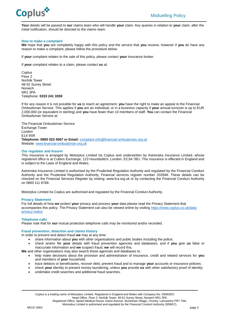

**Your** details will be passed to **our** claims team who will handle **your** claim. Any queries in relation to **your** claim, after the initial notification, should be directed to the claims team.

# **How to make a complaint**

**We** hope that **you** are completely happy with this policy and the service that **you** receive, however if **you** do have any reason to make a complaint, please follow the procedure below.

If **your** complaint relates to the sale of this policy, please contact **your** insurance broker.

If **your** complaint relates to a claim, please contact **us** at:

**Coplus** Floor 2 Norfolk Tower 48-52 Surrey Street Norwich NR1 3PA Telephone: **0333 241 3359**

If for any reason it is not possible for **us** to reach an agreement, **you** have the right to make an appeal to the Financial Ombudsman Service. This applies if **you** are an individual, or in a business capacity if **your** annual turnover is up to EUR 2,000,000 (or equivalent in sterling) and **you** have fewer than 10 members of staff. **You** can contact the Financial Ombudsman Service at:

The Financial Ombudsman Service Exchange Tower London E14 9SR **Telephone: 0800 023 4567 or Email:** [complaint.info@financial-ombudsman.org.uk](mailto:complaint.info@financial-ombudsman.org.uk) Website: [www.financial-ombudsman.org.uk](http://www.financial-ombudsman.org.uk/)

# **Our regulator and Insurer**

This insurance is arranged by Motorplus Limited t/a Coplus and underwritten by Astrenska Insurance Limited, whose registered office is at Cutlers Exchange, 123 Houndsditch, London, EC3A 7BU. This insurance is effected in England and is subject to the Laws of England and Wales.

Astrenska Insurance Limited is authorised by the Prudential Regulation Authority and regulated by the Financial Conduct Authority and the Prudential Regulation Authority. Financial services register number 202846. These details can be checked on the Financial Services Register by visiting: www.fca.org.uk or by contacting the Financial Conduct Authority on 0800 111 6768.

Motorplus Limited t/a Coplus are authorised and regulated by the Financial Conduct Authority.

# **Privacy Statement**

For full details of how **we** protect **your** privacy and process **your** data please read the Privacy Statement that accompanies this policy. The Privacy Statement can also be viewed online by visiting [https://www.coplus.co.uk/data](https://www.coplus.co.uk/data-privacy-notice/)[privacy-notice](https://www.coplus.co.uk/data-privacy-notice/)

# **Telephone calls**

Please note that for **our** mutual protection telephone calls may be monitored and/or recorded.

#### **Fraud prevention, detection and claims history**

In order to prevent and detect fraud **we** may at any time:

- share information about **you** with other organisations and public bodies including the police;
- check and/or file **your** details with fraud prevention agencies and databases, and if **you** give **us** false or inaccurate information and **we** suspect fraud, **we** will record this.

**We** and other organisations may also search these agencies and databases to:

- help make decisions about the provision and administration of insurance, credit and related services for **you** and members of **your** household;
- trace debtors or beneficiaries, recover debt, prevent fraud and to manage **your** accounts or insurance policies;
- check **your** identity to prevent money laundering, unless **you** provide **us** with other satisfactory proof of identity;
- undertake credit searches and additional fraud searches.

Head Office: Floor 2, Norfolk Tower, 48-52 Surrey Street, Norwich NR1 3PA.

Registered Office: Speed Medical House, Eaton Avenue, Buckshaw Village, Chorley, Lancashire PR7 7NA.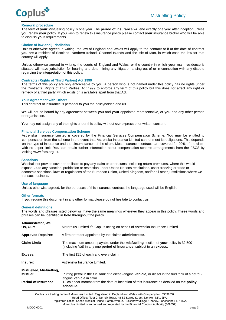

# **Renewal procedure**

The term of **your** Misfuelling policy is one year. The **period of insurance** will end exactly one year after inception unless **you** renew **your** policy. If **you** wish to renew this insurance policy please contact **your** insurance broker who will be able to discuss **your** requirements.

## **Choice of law and jurisdiction**

Unless otherwise agreed in writing, the law of England and Wales will apply to the contract or if at the date of contract **you** are a resident of Scotland, Northern Ireland, Channel Islands and the Isle of Man, in which case the law for that country will apply.

Unless otherwise agreed in writing, the courts of England and Wales, or the country in which **your** main residence is situated will have jurisdiction for hearing and determining any litigation arising out of or in connection with any dispute regarding the interpretation of this policy.

### **Contracts (Rights of Third Parties) Act 1999**

The terms of this policy are only enforceable by **you**. A person who is not named under this policy has no rights under the Contracts (Rights of Third Parties) Act 1999 to enforce any term of this policy but this does not affect any right or remedy of a third party, which exists or is available apart from that Act.

### **Your Agreement with Others**

This contract of insurance is personal to **you** the policyholder, and **us**.

**We** will not be bound by any agreement between **you** and **your** appointed representative, or **you** and any other person or organisation.

**You** may not assign any of the rights under this policy without **our** express prior written consent.

# **Financial Services Compensation Scheme**

Astrenska Insurance Limited is covered by the Financial Services Compensation Scheme. **You** may be entitled to compensation from the scheme in the event that Astrenska Insurance Limited cannot meet its obligations. This depends on the type of insurance and the circumstances of the claim. Most insurance contracts are covered for 90% of the claim with no upper limit. **You** can obtain further information about compensation scheme arrangements from the FSCS by visiting www.fscs.org.uk.

#### **Sanctions**

**We** shall not provide cover or be liable to pay any claim or other sums, including return premiums, where this would expose **us** to any sanction, prohibition or restriction under United Nations resolutions, asset freezing or trade or economic sanctions, laws or regulations of the European Union, United Kingdom, and/or all other jurisdictions where we transact business.

#### **Use of language**

Unless otherwise agreed, for the purposes of this insurance contract the language used will be English.

#### **Other formats**

If **you** require this document in any other format please do not hesitate to contact **us**.

#### **General definitions**

The words and phrases listed below will have the same meanings wherever they appear in this policy. These words and phrases can be identified in **bold** throughout the policy.

| <b>Administrator, We</b><br>Us. Our:                                | Motorplus Limited t/a Coplus acting on behalf of Astrenska Insurance Limited.                                                                                                                                                                             |
|---------------------------------------------------------------------|-----------------------------------------------------------------------------------------------------------------------------------------------------------------------------------------------------------------------------------------------------------|
| <b>Approved Repairer:</b>                                           | A firm or trader appointed by the claims <b>administrator</b> .                                                                                                                                                                                           |
| <b>Claim Limit:</b>                                                 | The maximum amount payable under the <b>misfuelling</b> section of your policy is $£2,500$<br>(including Vat) in any one <b>period of Insurance</b> , subject to an <b>excess</b> .                                                                       |
| Excess:                                                             | The first £25 of each and every claim.                                                                                                                                                                                                                    |
| Insurer:                                                            | Astrenska Insurance Limited.                                                                                                                                                                                                                              |
| Misfuelled, Misfuelling,<br>Misfuel:<br><b>Period of Insurance:</b> | Putting petrol in the fuel tank of a diesel-engine <b>vehicle</b> , or diesel in the fuel tank of a petrol -<br>engine vehicle in error.<br>12 calendar months from the date of inception of this insurance as detailed on the <b>policy</b><br>schedule. |

Coplus is a trading name of Motorplus Limited. Registered in England and Wales with Company No. 03092837.

Head Office: Floor 2, Norfolk Tower, 48-52 Surrey Street, Norwich NR1 3PA.

Registered Office: Speed Medical House, Eaton Avenue, Buckshaw Village, Chorley, Lancashire PR7 7NA.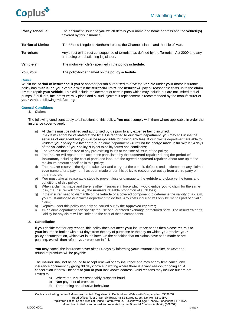

| <b>Policy schedule:</b>    | The document issued to you which details your name and home address and the vehicle(s)<br>covered by this insurance.                  |
|----------------------------|---------------------------------------------------------------------------------------------------------------------------------------|
| <b>Territorial Limits:</b> | The United Kingdom, Northern Ireland, the Channel Islands and the Isle of Man.                                                        |
| Terrorism:                 | Any direct or indirect consequence of terrorism as defined by the Terrorism Act 2000 and any<br>amending or substituting legislation. |
| Vehicle(s):                | The motor vehicle(s) specified in the <b>policy schedule</b> .                                                                        |
| You, Your:                 | The policyholder named on the policy schedule.                                                                                        |

## **Cover**

Within the **period of insurance**, if **you** or another person authorised to drive the **vehicle** under **your** motor insurance policy has **misfuelled your vehicle** within the **territorial limits**, the **insurer** will pay all reasonable costs up to the **claim limit** to repair **your vehicle**. This will include replacement of certain parts which may include but are not limited to fuel pumps, fuel filters, fuel pressure rail / pipes and all fuel injectors if replacement is recommended by the manufacturer of **your vehicle** following **misfuelling**.

### **General Conditions**

**1. Claims**

The following conditions apply to all sections of this policy. **You** must comply with them where applicable in order the insurance cover to apply:

- a) All claims must be notified and authorised by **us** prior to any expense being incurred. If a claim cannot be validated at the time it is reported to **our** claim department, **you** may still utilise the services of **our** agent but **you** will be responsible for paying any fees, If **our** claims department are able to validate **your** policy at a later date **our** claims department will refund the charge made in full within 14 days of the validation of **your** policy, subject to policy terms and conditions;
- b) The **vehicle** must be free of any pre-existing faults at the time of issue of the policy;
- c) The **insurer** will repair or replace those parts listed by the **approved repairer** during the **period of insurance,** including the cost of parts and labour at the agreed **approved repairer** labour rate up to the maximum amount specified in this policy;
- d) The **insurer** reserves the right to take over and carry out the pursuit, defence and settlement of any claim in **your** name after a payment has been made under this policy to recover **our** outlay from a third party or their **insurer**;
- e) **You** must take all reasonable steps to prevent loss or damage to the **vehicle** and observe the terms and conditions of this policy;
- f) When a claim is made and there is other insurance in force which would entitle **you** to claim for the same loss, the **insurer** will only pay the **insurers** rateable proportion of such loss;
- g) If the **insurer** need to dismantle of the **vehicle** or a covered component to determine the validity of a claim, **you** must authorise **our** claims department to do this. Any costs incurred will only be met as part of a valid claim;
- h) Repairs under this policy can only be carried out by the **approved repairer;**
- i) **Our** claims department can specify the use of guaranteed exchange or factored parts. The **insurer's** parts liability for any claim will be limited to the cost of these components.

# **2. Cancellation**

If **you** decide that for any reason, this policy does not meet **your** insurance needs then please return it to **your** insurance broker within 14 days from the day of purchase or the day on which **you** receive **your** policy documentation, whichever is the later. On the condition that no claims have been made or are pending, **we** will then refund **your** premium in full.

**You** may cancel the insurance cover after 14 days by informing **your** insurance broker, however no refund of premium will be payable.

The **insurer** shall not be bound to accept renewal of any insurance and may at any time cancel any insurance document by giving 30 days' notice in writing where there is a valid reason for doing so. A cancellation letter will be sent to **you** at **your** last known address. Valid reasons may include but are not limited to:

- a) Where the **insurer** reasonably suspects fraud
- b) Non-payment of premium
- c) Threatening and abusive behaviour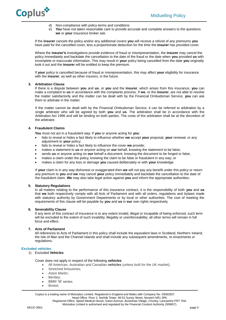

- d) Non-compliance with policy terms and conditions
- e) **You** have not taken reasonable care to provide accurate and complete answers to the questions **we** or **your** insurance broker ask.

If the **insurer** cancels the policy and/or any additional covers **you** will receive a refund of any premiums **you** have paid for the cancelled cover, less a proportionate deduction for the time the **insurer** has provided cover.

Where the **insurer's** investigations provide evidence of fraud or misrepresentation, the **insurer** may cancel the policy immediately and backdate the cancellation to the date of the fraud or the date when **you** provided **us** with incomplete or inaccurate information. This may result in **your** policy being cancelled from the date **you** originally took it out and the **insurer** will be entitled to keep the premium.

If **your** policy is cancelled because of fraud or misrepresentation, this may affect **your** eligibility for insurance with the **insurer**, as well as other insurers, in the future.

# **3. Arbitration Clause**

If there is a dispute between **you** and **us**, or **you** and the **insurer**, which arises from this insurance, **you** can make a complaint to **us** in accordance with the complaints process. If **we**, or the **insurer**, are not able to resolve the matter satisfactorily and the matter can be dealt with by the Financial Ombudsman Service, **you** can ask them to arbitrate in the matter.

If the matter cannot be dealt with by the Financial Ombudsman Service, it can be referred to arbitration by a single arbitrator who will be agreed by both **you** and **us**. The arbitration shall be in accordance with the Arbitration Act 1996 and will be binding on both parties. The costs of the arbitration shall be at the discretion of the arbitrator.

# **4. Fraudulent Claims**

**You** must not act in a fraudulent way. If **you** or anyone acting for **you**:

- fails to reveal or hides a fact likely to influence whether **we** accept **your** proposal, **your** renewal, or any adjustment to **your** policy;
- fails to reveal or hides a fact likely to influence the cover **we** provide;
- makes a statement to **us** or anyone acting on **our** behalf, knowing the statement to be false;
- sends **us** or anyone acting on **our** behalf a document, knowing the document to be forged or false;
- makes a claim under the policy, knowing the claim to be false or fraudulent in any way; or
- makes a claim for any loss or damage **you** caused deliberately or with **your** knowledge.

If **your** claim is in any way dishonest or exaggerated then **we** will not pay any benefit under this policy or return any premium to **you** and **we** may cancel **your** policy immediately and backdate the cancellation to the date of the fraudulent claim. **We** may also take legal action against **you** and inform the appropriate authorities.

# **5. Statutory Regulations**

In all matters relating to the performance of this insurance contract, it is the responsibility of both **you** and **us** that **we** both respectively comply with all Acts of Parliament and with all orders, regulations and bylaws made with statutory authority by Government Departments or by local or other authorities. The cost of meeting the requirements of this clause will be payable by **you** and **us** in **our** own rights respectively.

# **6. Severability Clause**

If any term of this contract of insurance is to any extent invalid, illegal or incapable of being enforced, such term will be excluded to the extent of such invalidity, illegality or unenforceability; all other terms will remain in full force and effect.

# **7. Acts of Parliament**

All references to Acts of Parliament in this policy shall include the equivalent laws in Scotland, Northern Ireland, the Isle of Man and the Channel Islands and shall include any subsequent amendments, re-enactments or regulations**.**

# **Excluded vehicles**

1) Excluded **Vehicles**

Cover does not apply in respect of the following **vehicles**:

- All American, Australian and Canadian **vehicles** (unless built for the UK market);
- Stretched limousines:
- Aston Martin;
- Bentley;
- BMW 'M' series;
- Bristol;

Coplus is a trading name of Motorplus Limited. Registered in England and Wales with Company No. 03092837. Head Office: Floor 2, Norfolk Tower, 48-52 Surrey Street, Norwich NR1 3PA.

Registered Office: Speed Medical House, Eaton Avenue, Buckshaw Village, Chorley, Lancashire PR7 7NA.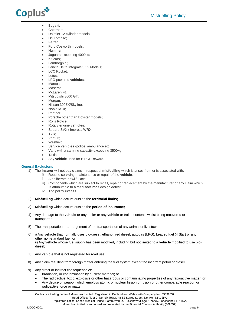

- Bugatti;
- Caterham;
- Daimler 12 cylinder models;
- De Tomaso;
- Ferrari;
- Ford Cosworth models;
- Hummer;
- Jaguars exceeding 4000cc;
- Kit cars;
- Lamborghini;
- Lancia Delta Integrale/8.32 Models;
- LCC Rocket;
- Lotus;
- LPG powered **vehicles**;
- Marcos;
- Maserati;
- McLaren F1;
- Mitsubishi 3000 GT;
- Morgan:
- Nissan 300ZX/Skyline;
- Noble M10;
- Panther;
- Porsche other than Boxster models;
- Rolls Royce;
- Rotary engine **vehicles**;
- Subaru SVX / Impreza WRX;
- TVR;
- Venturi;
- Westfield,
- Service **vehicles** (police, ambulance etc);
- Vans with a carrying capacity exceeding 3500kg;
- Taxis
- Any **vehicle** used for Hire & Reward.

# **General Exclusions**

- 1) The **insurer** will not pay claims in respect of **misfuelling** which is arises from or is associated with:
	- i) Routine servicing, maintenance or repair of the **vehicle**;
	- A deliberate or wilful act;
	- iii) Components which are subject to recall, repair or replacement by the manufacturer or any claim which is attributable to a manufacturer's design defect;
	- iv) The policy **excess.**
- 2) **Misfuelling** which occurs outside the **territorial limits;**
- 3) **Misfuelling** which occurs outside the **period of insurance;**
- 4) Any damage to the **vehicle** or any trailer or any **vehicle** or trailer contents whilst being recovered or transported;
- 5) The transportation or arrangement of the transportation of any animal or livestock;
- 6) i) Any **vehicle** that normally uses bio-diesel, ethanol, red diesel, autogas (LPG), Leaded fuel (4 Star) or any other non-standard fuel; or ii) Any **vehicle** whose fuel supply has been modified, including but not limited to a **vehicle** modified to use biodiesel;
- 7) Any **vehicle** that is not registered for road use;
- 8) Any claim resulting from foreign matter entering the fuel system except the incorrect petrol or diesel.
- 9) Any direct or indirect consequence of:
	- Irradiation, or contamination by nuclear material; or
	- The radioactive, toxic, explosive or other hazardous or contaminating properties of any radioactive matter; or
	- Any device or weapon which employs atomic or nuclear fission or fusion or other comparable reaction or radioactive force or matter.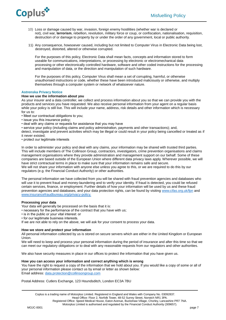

- 10) Loss or damage caused by war, invasion, foreign enemy hostilities (whether war is declared or not), civil war, **terrorism**, rebellion, revolution, military force or coup, or confiscation, nationalisation, requisition, destruction of or damage to property by or under the order of any government, local or public authority.
- 11) Any consequence, howsoever caused, including but not limited to Computer Virus in Electronic Data being lost, destroyed, distorted, altered or otherwise corrupted.

For the purposes of this policy, Electronic Data shall mean facts, concepts and information stored to form useable for communications, interpretations, or processing by electronic or electromechanical data processing or other electronically controlled hardware, software and other coded instructions for the processing and manipulation of data, or the direction and manipulation of such hardware.

For the purposes of this policy, Computer Virus shall mean a set of corrupting, harmful, or otherwise unauthorised instructions or code, whether these have been introduced maliciously or otherwise, and multiply themselves through a computer system or network of whatsoever nature.

# **Astrenska Privacy Notice**

# **How we use the information about you**

As your insurer and a data controller, we collect and process information about you so that we can provide you with the products and services you have requested. We also receive personal information from your agent on a regular basis while your policy is still live. This will include your name, address, risk details and other information which is necessary for us to:

- Meet our contractual obligations to you;
- issue you this insurance policy;
- deal with any claims or requests for assistance that you may have
- service your policy (including claims and policy administration, payments and other transactions); and,

detect, investigate and prevent activities which may be illegal or could result in your policy being cancelled or treated as if it never existed;

• protect our legitimate interests

In order to administer your policy and deal with any claims, your information may be shared with trusted third parties. This will include members of The Collinson Group, contractors, investigators, crime prevention organisations and claims management organisations where they provide administration and management support on our behalf. Some of these companies are based outside of the European Union where different data privacy laws apply. Wherever possible, we will have strict contractual terms in place to make sure that your information remains safe and secure. We will not share your information with anyone else unless you agree to this, or we are required to do this by our regulators (e.g. the Financial Conduct Authority) or other authorities.

The personal information we have collected from you will be shared with fraud prevention agencies and databases who will use it to prevent fraud and money-laundering and to verify your identity. If fraud is detected, you could be refused certain services, finance, or employment. Further details of how your information will be used by us and these fraud prevention agencies and databases, and your data protection rights, can be found by visiting [www.cifas.org.uk/fpn](../../../../../Commercial/Ops%20forms%20&%20Check%20lists/Check%20lists/Templates/www.cifas.org.uk/fpn) and [www.insurancefraudbureau.org/privacy-policy.](http://www.insurancefraudbureau.org/privacy-policy)

# **Processing your data**

Your data will generally be processed on the basis that it is:

- necessary for the performance of the contract that you have with us;
- is in the public or your vital interest: or
- for our legitimate business interests.

If we are not able to rely on the above, we will ask for your consent to process your data.

# **How we store and protect your information**

All personal information collected by us is stored on secure servers which are either in the United Kingdom or European Union.

We will need to keep and process your personal information during the period of insurance and after this time so that we can meet our regulatory obligations or to deal with any reasonable requests from our regulators and other authorities.

We also have security measures in place in our offices to protect the information that you have given us.

# **How you can access your information and correct anything which is wrong**

You have the right to request a copy of the information that we hold about you. If you would like a copy of some or all of your personal information please contact us by email or letter as shown below: Email address[: data.protection@collinsongroup.com](mailto:data.protection@collinsongroup.com)

Postal Address: Cutlers Exchange, 123 Houndsditch, London EC3A 7BU